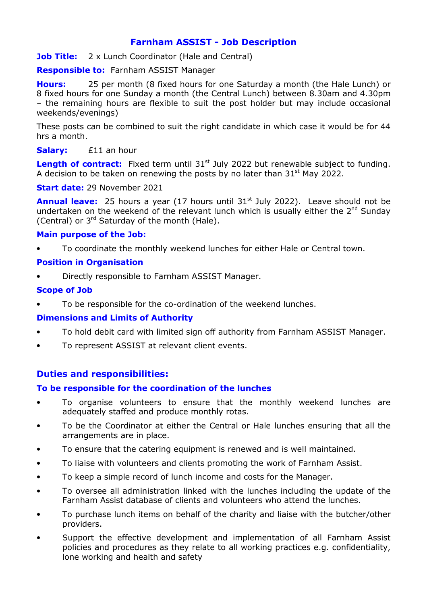# Farnham ASSIST - Job Description

**Job Title:** 2 x Lunch Coordinator (Hale and Central)

**Responsible to: Farnham ASSIST Manager** 

**Hours:** 25 per month (8 fixed hours for one Saturday a month (the Hale Lunch) or 8 fixed hours for one Sunday a month (the Central Lunch) between 8.30am and 4.30pm – the remaining hours are flexible to suit the post holder but may include occasional weekends/evenings)

These posts can be combined to suit the right candidate in which case it would be for 44 hrs a month.

## Salary: £11 an hour

Length of contract: Fixed term until 31<sup>st</sup> July 2022 but renewable subject to funding. A decision to be taken on renewing the posts by no later than  $31<sup>st</sup>$  May 2022.

#### Start date: 29 November 2021

Annual leave: 25 hours a year (17 hours until 31<sup>st</sup> July 2022). Leave should not be undertaken on the weekend of the relevant lunch which is usually either the  $2^{nd}$  Sunday (Central) or  $3^{rd}$  Saturday of the month (Hale).

## Main purpose of the Job:

• To coordinate the monthly weekend lunches for either Hale or Central town.

#### Position in Organisation

• Directly responsible to Farnham ASSIST Manager.

#### Scope of Job

To be responsible for the co-ordination of the weekend lunches.

## Dimensions and Limits of Authority

- To hold debit card with limited sign off authority from Farnham ASSIST Manager.
- To represent ASSIST at relevant client events.

## Duties and responsibilities:

## To be responsible for the coordination of the lunches

- To organise volunteers to ensure that the monthly weekend lunches are adequately staffed and produce monthly rotas.
- To be the Coordinator at either the Central or Hale lunches ensuring that all the arrangements are in place.
- To ensure that the catering equipment is renewed and is well maintained.
- To liaise with volunteers and clients promoting the work of Farnham Assist.
- To keep a simple record of lunch income and costs for the Manager.
- To oversee all administration linked with the lunches including the update of the Farnham Assist database of clients and volunteers who attend the lunches.
- To purchase lunch items on behalf of the charity and liaise with the butcher/other providers.
- Support the effective development and implementation of all Farnham Assist policies and procedures as they relate to all working practices e.g. confidentiality, lone working and health and safety